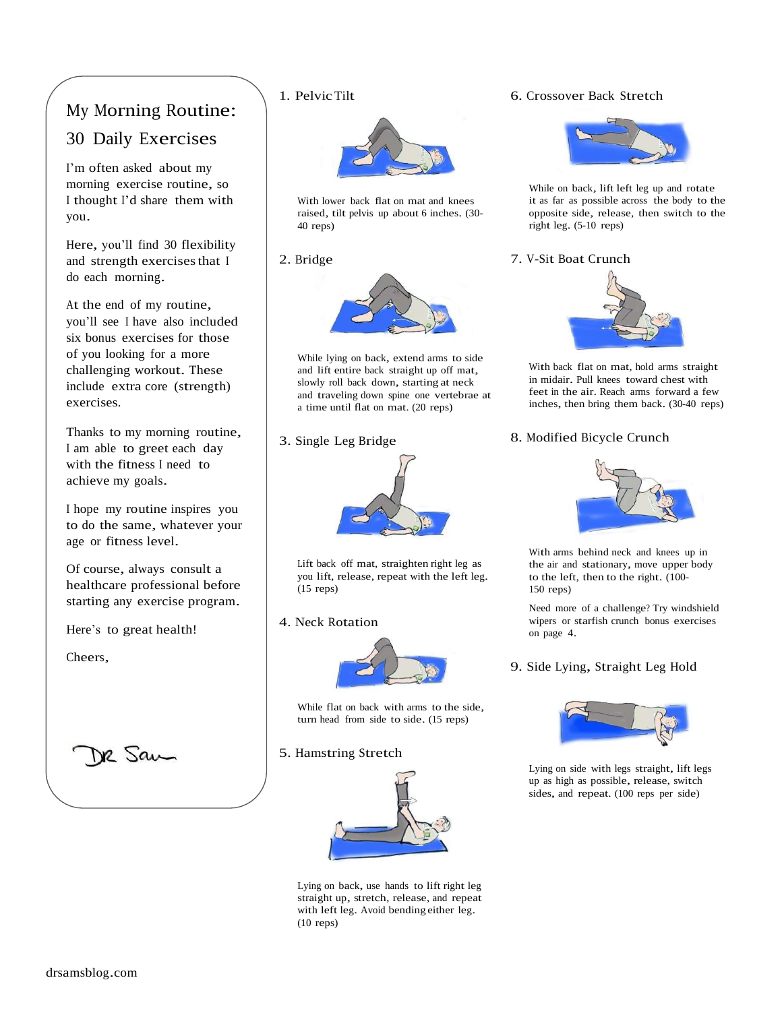# My Morning Routine: 30 Daily Exercises

I'm often asked about my morning exercise routine, so <sup>I</sup> thought I'd share them with you.

Here, you'll find 30 flexibility and strength exercisesthat I do each morning.

At the end of my routine, you'll see I have also included six bonus exercises for those of you looking for a more challenging workout. These include extra core (strength) exercises.

Thanks to my morning routine, I am able to greet each day with the fitness <sup>I</sup> need to achieve my goals.

I hope my routine inspires you to do the same, whatever your age or fitness level.

Of course, always consult a healthcare professional before starting any exercise program.

Here's to great health!

Cheers,



## 1. Pelvic Tilt



With lower back flat on mat and knees raised, tilt pelvis up about <sup>6</sup> inches. (30- 40 reps)

## 2. Bridge



While lying on back, extend arms to side and lift entire back straight up off mat, slowly roll back down, starting at neck and traveling down spine one vertebrae at a time until flat on mat. (20 reps)

## 3. Single Leg Bridge



Lift back off mat, straighten right leg as you lift, release, repeat with the left leg. (15 reps)

## 4. Neck Rotation



While flat on back with arms to the side, turn head from side to side. (15 reps)

## 5. Hamstring Stretch



Lying on back, use hands to lift right leg straight up, stretch, release, and repeat with left leg. Avoid bending either leg. (10 reps)

## 6. Crossover Back Stretch



While on back, lift left leg up and rotate it as far as possible across the body to the opposite side, release, then switch to the right leg. (5-10 reps)

## 7. V-Sit Boat Crunch



With back flat on mat, hold arms straight in midair. Pull knees toward chest with feet in the air. Reach arms forward a few inches, then bring them back. (30-40 reps)

## 8. Modified Bicycle Crunch



With arms behind neck and knees up in the air and stationary, move upper body to the left, then to the right. (100- 150 reps)

Need more of a challenge? Try windshield wipers or starfish crunch bonus exercises on page 4.

## 9. Side Lying, Straight Leg Hold



Lying on side with legs straight, lift legs up as high as possible, release, switch sides, and repeat. (100 reps per side)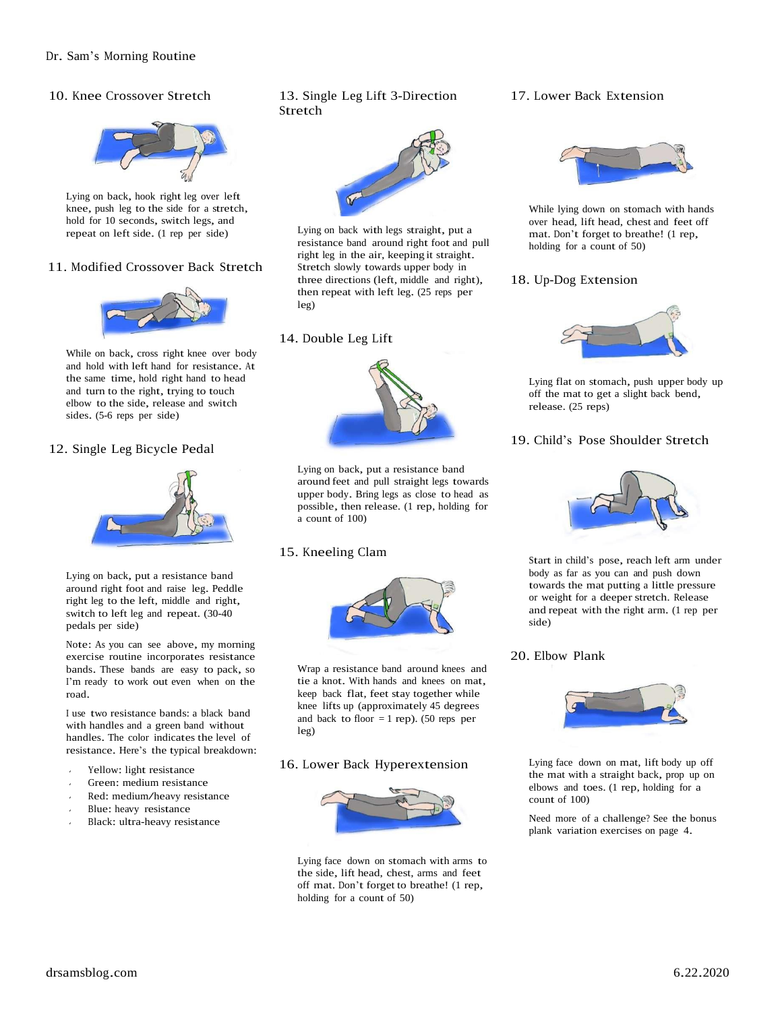## 10. Knee Crossover Stretch



Lying on back, hook right leg over left knee, push leg to the side for <sup>a</sup> stretch, hold for <sup>10</sup> seconds, switch legs, and repeat on left side. (1 rep per side)

## 11. Modified Crossover Back Stretch



While on back, cross right knee over body and hold with left hand for resistance. At the same time, hold right hand to head and turn to the right, trying to touch elbow to the side, release and switch sides. (5-6 reps per side)

## 12. Single Leg Bicycle Pedal



Lying on back, put <sup>a</sup> resistance band around right foot and raise leg. Peddle right leg to the left, middle and right, switch to left leg and repeat. (30-40 pedals per side)

Note: As you can see above, my morning exercise routine incorporates resistance bands. These bands are easy to pack, so I'm ready to work out even when on the road.

<sup>I</sup> use two resistance bands: a black band with handles and a green band without handles. The color indicates the level of resistance. Here's the typical breakdown:

- Yellow: light resistance
- Green: medium resistance
- Red: medium/heavy resistance
- Blue: heavy resistance
- Black: ultra-heavy resistance

## 13. Single Leg Lift 3-Direction Stretch



Lying on back with legs straight, put a resistance band around right foot and pull right leg in the air, keeping it straight. Stretch slowly towards upper body in three directions (left, middle and right), then repeat with left leg. (25 reps per leg)

#### 14. Double Leg Lift



Lying on back, put <sup>a</sup> resistance band around feet and pull straight legs towards upper body. Bring legs as close to head as possible, then release. (1 rep, holding for a count of 100)

## 15. Kneeling Clam



Wrap a resistance band around knees and tie <sup>a</sup> knot. With hands and knees on mat, keep back flat, feet stay together while knee lifts up (approximately 45 degrees and back to floor  $= 1$  rep). (50 reps per leg)

## 16. Lower Back Hyperextension



Lying face down on stomach with arms to the side, lift head, chest, arms and feet off mat. Don't forget to breathe! (1 rep, holding for a count of 50)

#### 17. Lower Back Extension



While lying down on stomach with hands over head, lift head, chest and feet off mat. Don't forget to breathe! (1 rep, holding for a count of 50)

### 18. Up-Dog Extension



Lying flat on stomach, push upper body up off the mat to get <sup>a</sup> slight back bend, release. (25 reps)

## 19. Child's Pose Shoulder Stretch



Start in child's pose, reach left arm under body as far as you can and push down towards the mat putting a little pressure or weight for a deeper stretch. Release and repeat with the right arm. (1 rep per side)

#### 20. Elbow Plank



Lying face down on mat, lift body up off the mat with <sup>a</sup> straight back, prop up on elbows and toes. (1 rep, holding for a count of 100)

Need more of a challenge? See the bonus plank variation exercises on page 4.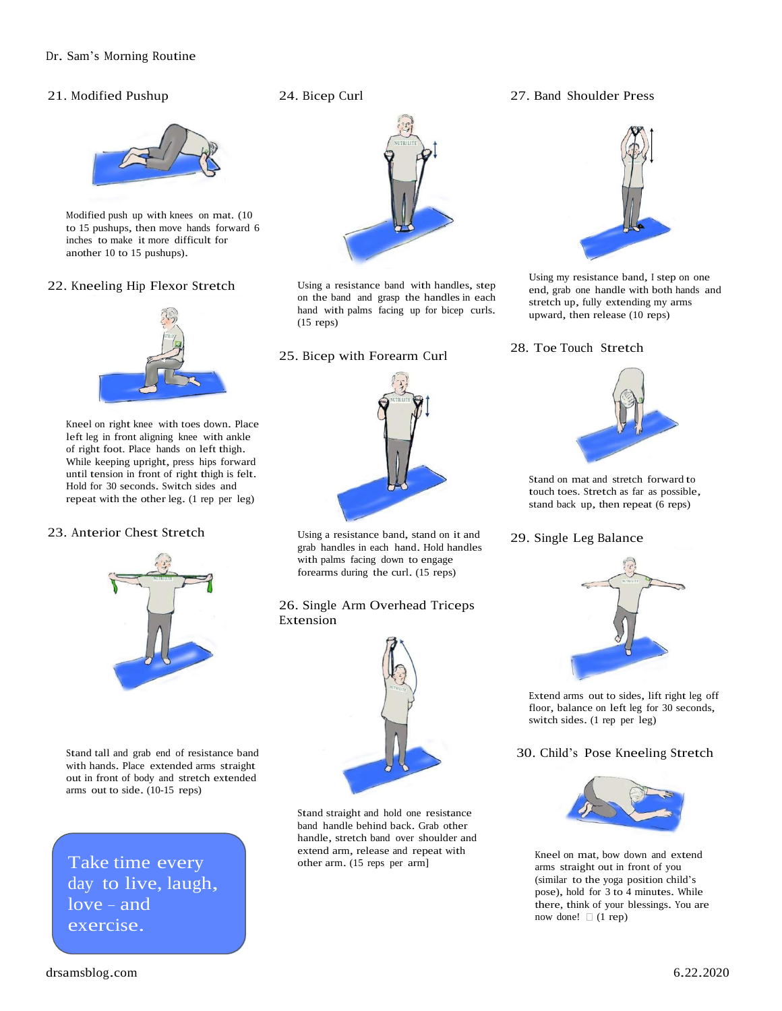## Dr. Sam's Morning Routine

## 21. Modified Pushup



Modified push up with knees on mat. (10 to <sup>15</sup> pushups, then move hands forward 6 inches to make it more difficult for another <sup>10</sup> to <sup>15</sup> pushups).

## 22. Kneeling Hip Flexor Stretch



Kneel on right knee with toes down. Place left leg in front aligning knee with ankle of right foot. Place hands on left thigh. While keeping upright, press hips forward until tension in front of right thigh is felt. Hold for <sup>30</sup> seconds. Switch sides and repeat with the other leg. (1 rep per leg)

## 23. Anterior Chest Stretch



Stand tall and grab end of resistance band with hands. Place extended arms straight out in front of body and stretch extended arms out to side. (10-15 reps)

Take time every day to live, laugh, love – and exercise.

## 24. Bicep Curl



Using <sup>a</sup> resistance band with handles, step on the band and grasp the handles in each hand with palms facing up for bicep curls. (15 reps)

#### 25. Bicep with Forearm Curl



Using <sup>a</sup> resistance band, stand on it and grab handles in each hand. Hold handles with palms facing down to engage forearms during the curl. (15 reps)

## 26. Single Arm Overhead Triceps Extension



Stand straight and hold one resistance band handle behind back. Grab other handle, stretch band over shoulder and extend arm, release and repeat with other arm. (15 reps per arm]

## 27. Band Shoulder Press



Using my resistance band, <sup>I</sup> step on one end, grab one handle with both hands and stretch up, fully extending my arms upward, then release (10 reps)

#### 28. Toe Touch Stretch



Stand on mat and stretch forward to touch toes. Stretch as far as possible, stand back up, then repeat (6 reps)

#### 29. Single Leg Balance



Extend arms out to sides, lift right leg off floor, balance on left leg for <sup>30</sup> seconds, switch sides. (1 rep per leg)

#### 30. Child's Pose Kneeling Stretch



Kneel on mat, bow down and extend arms straight out in front of you (similar to the yoga position child's pose), hold for <sup>3</sup> to <sup>4</sup> minutes. While there, think of your blessings. You are now done!  $\Box$  (1 rep)